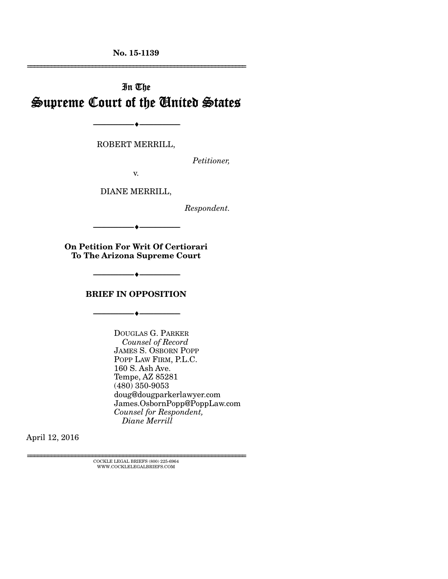**No. 15-1139**  ================================================================

# In The Supreme Court of the United States

--------------------------------- ---------------------------------

ROBERT MERRILL,

*Petitioner,* 

v.

DIANE MERRILL,

*Respondent.* 

**On Petition For Writ Of Certiorari** 

--------------------------------- ---------------------------------

**To The Arizona Supreme Court** 

**BRIEF IN OPPOSITION** 

--------------------------------- ---------------------------------

--------------------------------- ---------------------------------

DOUGLAS G. PARKER  *Counsel of Record* JAMES S. OSBORN POPP POPP LAW FIRM, P.L.C. 160 S. Ash Ave. Tempe, AZ 85281 (480) 350-9053 doug@dougparkerlawyer.com James.OsbornPopp@PoppLaw.com *Counsel for Respondent, Diane Merrill*

April 12, 2016

================================================================ COCKLE LEGAL BRIEFS (800) 225-6964 WWW.COCKLELEGALBRIEFS.COM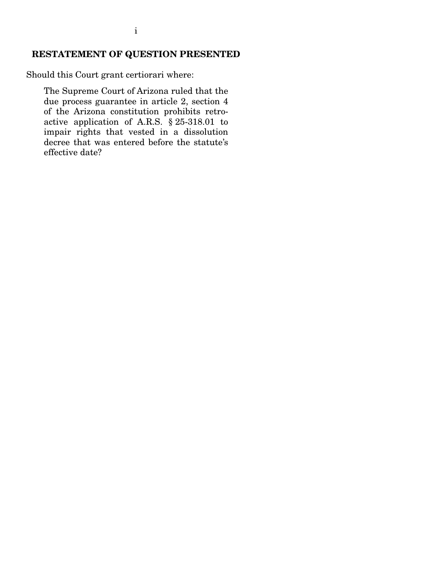### **RESTATEMENT OF QUESTION PRESENTED**

Should this Court grant certiorari where:

The Supreme Court of Arizona ruled that the due process guarantee in article 2, section 4 of the Arizona constitution prohibits retroactive application of A.R.S. § 25-318.01 to impair rights that vested in a dissolution decree that was entered before the statute's effective date?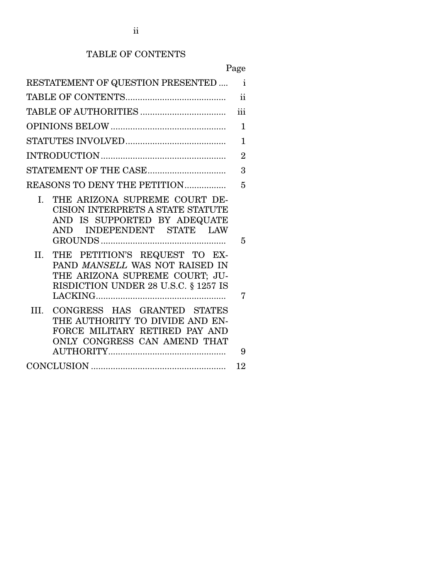### TABLE OF CONTENTS

|                                                                                                                                                           | Page          |  |  |  |  |
|-----------------------------------------------------------------------------------------------------------------------------------------------------------|---------------|--|--|--|--|
| RESTATEMENT OF QUESTION PRESENTED                                                                                                                         | $\mathbf{i}$  |  |  |  |  |
|                                                                                                                                                           | $\mathbf{ii}$ |  |  |  |  |
|                                                                                                                                                           | iii           |  |  |  |  |
|                                                                                                                                                           |               |  |  |  |  |
| $\mathbf{1}$                                                                                                                                              |               |  |  |  |  |
| $\overline{2}$                                                                                                                                            |               |  |  |  |  |
|                                                                                                                                                           | 3             |  |  |  |  |
| REASONS TO DENY THE PETITION                                                                                                                              | 5             |  |  |  |  |
| $\mathbf{L}$<br>THE ARIZONA SUPREME COURT DE-<br>CISION INTERPRETS A STATE STATUTE<br>AND IS SUPPORTED BY ADEQUATE<br>INDEPENDENT STATE LAW<br><b>AND</b> | 5             |  |  |  |  |
| PETITION'S REQUEST TO EX-<br>II.<br>THE<br>PAND MANSELL WAS NOT RAISED IN<br>THE ARIZONA SUPREME COURT; JU-<br>RISDICTION UNDER 28 U.S.C. § 1257 IS       | 7             |  |  |  |  |
| CONGRESS HAS GRANTED STATES<br>III.<br>THE AUTHORITY TO DIVIDE AND EN-<br>FORCE MILITARY RETIRED PAY AND<br>ONLY CONGRESS CAN AMEND THAT                  | 9             |  |  |  |  |
|                                                                                                                                                           |               |  |  |  |  |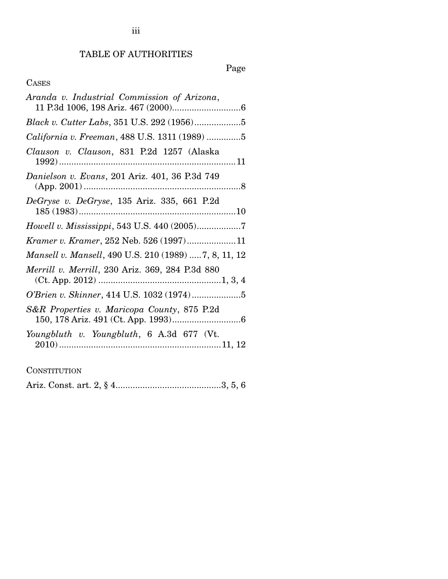## TABLE OF AUTHORITIES

## Page

## CASES

### **CONSTITUTION**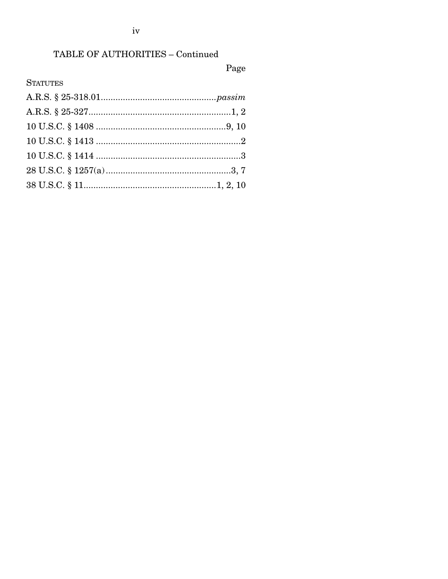## TABLE OF AUTHORITIES - Continued

## Page

## **STATUTES**

 $\mathrm{iv}$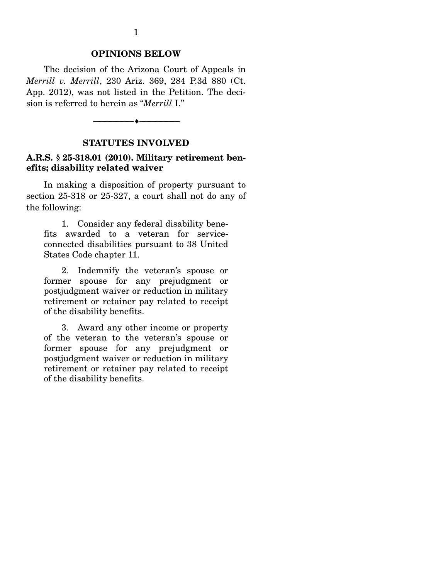#### **OPINIONS BELOW**

 The decision of the Arizona Court of Appeals in *Merrill v. Merrill*, 230 Ariz. 369, 284 P.3d 880 (Ct. App. 2012), was not listed in the Petition. The decision is referred to herein as "*Merrill* I."

--------------------------------- ---------------------------------

#### **STATUTES INVOLVED**

#### **A.R.S. § 25-318.01 (2010). Military retirement benefits; disability related waiver**

 In making a disposition of property pursuant to section 25-318 or 25-327, a court shall not do any of the following:

 1. Consider any federal disability benefits awarded to a veteran for serviceconnected disabilities pursuant to 38 United States Code chapter 11.

 2. Indemnify the veteran's spouse or former spouse for any prejudgment or postjudgment waiver or reduction in military retirement or retainer pay related to receipt of the disability benefits.

 3. Award any other income or property of the veteran to the veteran's spouse or former spouse for any prejudgment or postjudgment waiver or reduction in military retirement or retainer pay related to receipt of the disability benefits.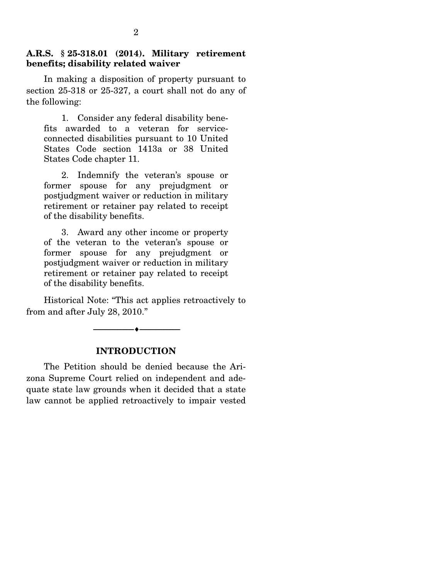#### **A.R.S. § 25-318.01 (2014). Military retirement benefits; disability related waiver**

 In making a disposition of property pursuant to section 25-318 or 25-327, a court shall not do any of the following:

 1. Consider any federal disability benefits awarded to a veteran for serviceconnected disabilities pursuant to 10 United States Code section 1413a or 38 United States Code chapter 11.

 2. Indemnify the veteran's spouse or former spouse for any prejudgment or postjudgment waiver or reduction in military retirement or retainer pay related to receipt of the disability benefits.

 3. Award any other income or property of the veteran to the veteran's spouse or former spouse for any prejudgment or postjudgment waiver or reduction in military retirement or retainer pay related to receipt of the disability benefits.

 Historical Note: "This act applies retroactively to from and after July 28, 2010."

--------------------------------- ---------------------------------

#### **INTRODUCTION**

 The Petition should be denied because the Arizona Supreme Court relied on independent and adequate state law grounds when it decided that a state law cannot be applied retroactively to impair vested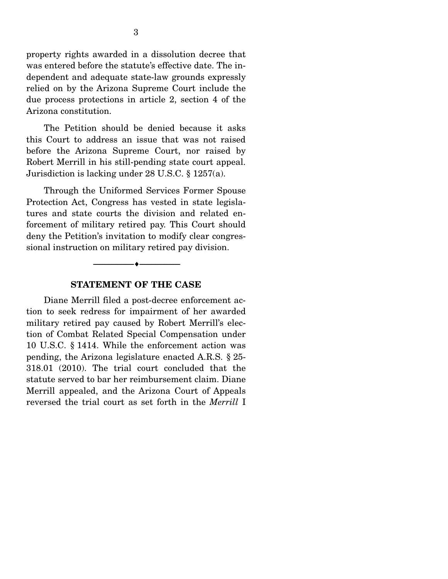property rights awarded in a dissolution decree that was entered before the statute's effective date. The independent and adequate state-law grounds expressly relied on by the Arizona Supreme Court include the due process protections in article 2, section 4 of the Arizona constitution.

 The Petition should be denied because it asks this Court to address an issue that was not raised before the Arizona Supreme Court, nor raised by Robert Merrill in his still-pending state court appeal. Jurisdiction is lacking under 28 U.S.C. § 1257(a).

 Through the Uniformed Services Former Spouse Protection Act, Congress has vested in state legislatures and state courts the division and related enforcement of military retired pay. This Court should deny the Petition's invitation to modify clear congressional instruction on military retired pay division.

#### **STATEMENT OF THE CASE**

--------------------------------- ---------------------------------

 Diane Merrill filed a post-decree enforcement action to seek redress for impairment of her awarded military retired pay caused by Robert Merrill's election of Combat Related Special Compensation under 10 U.S.C. § 1414. While the enforcement action was pending, the Arizona legislature enacted A.R.S. § 25- 318.01 (2010). The trial court concluded that the statute served to bar her reimbursement claim. Diane Merrill appealed, and the Arizona Court of Appeals reversed the trial court as set forth in the *Merrill* I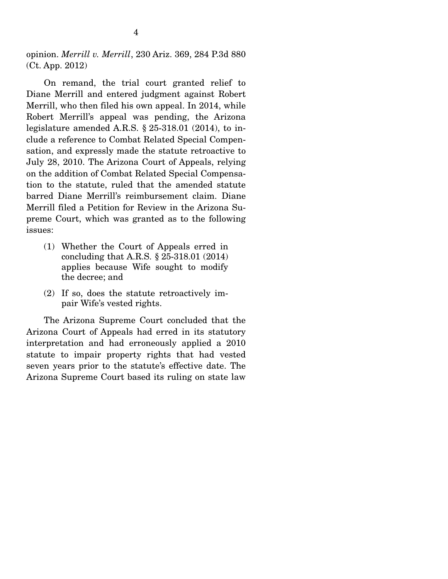opinion. *Merrill v. Merrill*, 230 Ariz. 369, 284 P.3d 880 (Ct. App. 2012)

 On remand, the trial court granted relief to Diane Merrill and entered judgment against Robert Merrill, who then filed his own appeal. In 2014, while Robert Merrill's appeal was pending, the Arizona legislature amended A.R.S. § 25-318.01 (2014), to include a reference to Combat Related Special Compensation, and expressly made the statute retroactive to July 28, 2010. The Arizona Court of Appeals, relying on the addition of Combat Related Special Compensation to the statute, ruled that the amended statute barred Diane Merrill's reimbursement claim. Diane Merrill filed a Petition for Review in the Arizona Supreme Court, which was granted as to the following issues:

- (1) Whether the Court of Appeals erred in concluding that A.R.S. § 25-318.01 (2014) applies because Wife sought to modify the decree; and
- (2) If so, does the statute retroactively impair Wife's vested rights.

 The Arizona Supreme Court concluded that the Arizona Court of Appeals had erred in its statutory interpretation and had erroneously applied a 2010 statute to impair property rights that had vested seven years prior to the statute's effective date. The Arizona Supreme Court based its ruling on state law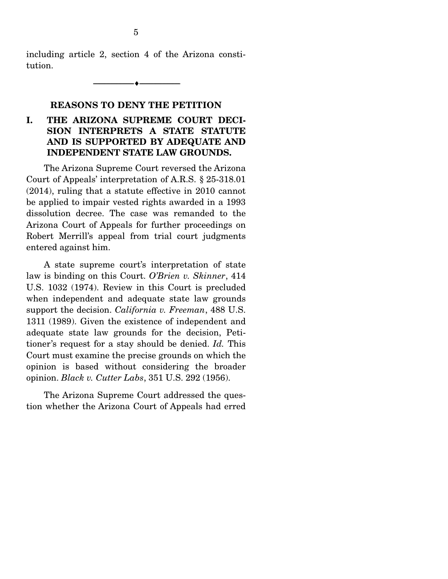including article 2, section 4 of the Arizona constitution.

--------------------------------- ---------------------------------

#### **REASONS TO DENY THE PETITION**

### **I. THE ARIZONA SUPREME COURT DECI-SION INTERPRETS A STATE STATUTE AND IS SUPPORTED BY ADEQUATE AND INDEPENDENT STATE LAW GROUNDS.**

 The Arizona Supreme Court reversed the Arizona Court of Appeals' interpretation of A.R.S. § 25-318.01 (2014), ruling that a statute effective in 2010 cannot be applied to impair vested rights awarded in a 1993 dissolution decree. The case was remanded to the Arizona Court of Appeals for further proceedings on Robert Merrill's appeal from trial court judgments entered against him.

 A state supreme court's interpretation of state law is binding on this Court. *O'Brien v. Skinner*, 414 U.S. 1032 (1974). Review in this Court is precluded when independent and adequate state law grounds support the decision. *California v. Freeman*, 488 U.S. 1311 (1989). Given the existence of independent and adequate state law grounds for the decision, Petitioner's request for a stay should be denied. *Id.* This Court must examine the precise grounds on which the opinion is based without considering the broader opinion. *Black v. Cutter Labs*, 351 U.S. 292 (1956).

 The Arizona Supreme Court addressed the question whether the Arizona Court of Appeals had erred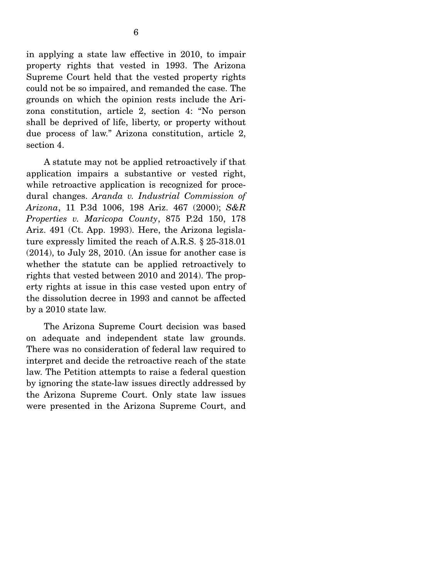in applying a state law effective in 2010, to impair property rights that vested in 1993. The Arizona Supreme Court held that the vested property rights could not be so impaired, and remanded the case. The grounds on which the opinion rests include the Arizona constitution, article 2, section 4: "No person shall be deprived of life, liberty, or property without due process of law." Arizona constitution, article 2, section 4.

 A statute may not be applied retroactively if that application impairs a substantive or vested right, while retroactive application is recognized for procedural changes. *Aranda v. Industrial Commission of Arizona*, 11 P.3d 1006, 198 Ariz. 467 (2000); *S&R Properties v. Maricopa County*, 875 P.2d 150, 178 Ariz. 491 (Ct. App. 1993). Here, the Arizona legislature expressly limited the reach of A.R.S. § 25-318.01 (2014), to July 28, 2010. (An issue for another case is whether the statute can be applied retroactively to rights that vested between 2010 and 2014). The property rights at issue in this case vested upon entry of the dissolution decree in 1993 and cannot be affected by a 2010 state law.

 The Arizona Supreme Court decision was based on adequate and independent state law grounds. There was no consideration of federal law required to interpret and decide the retroactive reach of the state law. The Petition attempts to raise a federal question by ignoring the state-law issues directly addressed by the Arizona Supreme Court. Only state law issues were presented in the Arizona Supreme Court, and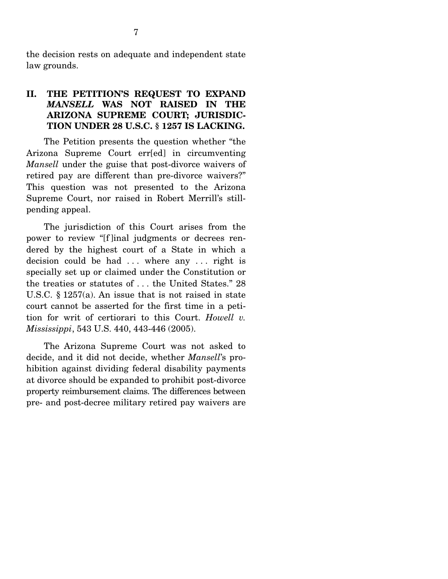the decision rests on adequate and independent state law grounds.

### **II. THE PETITION'S REQUEST TO EXPAND**  *MANSELL* **WAS NOT RAISED IN THE ARIZONA SUPREME COURT; JURISDIC-TION UNDER 28 U.S.C. § 1257 IS LACKING.**

 The Petition presents the question whether "the Arizona Supreme Court err[ed] in circumventing *Mansell* under the guise that post-divorce waivers of retired pay are different than pre-divorce waivers?" This question was not presented to the Arizona Supreme Court, nor raised in Robert Merrill's stillpending appeal.

 The jurisdiction of this Court arises from the power to review "[f ]inal judgments or decrees rendered by the highest court of a State in which a decision could be had ... where any ... right is specially set up or claimed under the Constitution or the treaties or statutes of . . . the United States." 28 U.S.C. § 1257(a). An issue that is not raised in state court cannot be asserted for the first time in a petition for writ of certiorari to this Court. *Howell v. Mississippi*, 543 U.S. 440, 443-446 (2005).

 The Arizona Supreme Court was not asked to decide, and it did not decide, whether *Mansell*'s prohibition against dividing federal disability payments at divorce should be expanded to prohibit post-divorce property reimbursement claims. The differences between pre- and post-decree military retired pay waivers are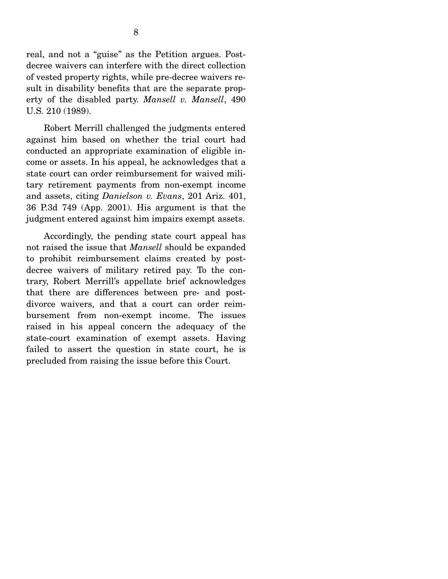real, and not a "guise" as the Petition argues. Postdecree waivers can interfere with the direct collection of vested property rights, while pre-decree waivers result in disability benefits that are the separate property of the disabled party. *Mansell v. Mansell*, 490 U.S. 210 (1989).

 Robert Merrill challenged the judgments entered against him based on whether the trial court had conducted an appropriate examination of eligible income or assets. In his appeal, he acknowledges that a state court can order reimbursement for waived military retirement payments from non-exempt income and assets, citing *Danielson v. Evans*, 201 Ariz. 401, 36 P.3d 749 (App. 2001). His argument is that the judgment entered against him impairs exempt assets.

 Accordingly, the pending state court appeal has not raised the issue that *Mansell* should be expanded to prohibit reimbursement claims created by postdecree waivers of military retired pay. To the contrary, Robert Merrill's appellate brief acknowledges that there are differences between pre- and postdivorce waivers, and that a court can order reimbursement from non-exempt income. The issues raised in his appeal concern the adequacy of the state-court examination of exempt assets. Having failed to assert the question in state court, he is precluded from raising the issue before this Court.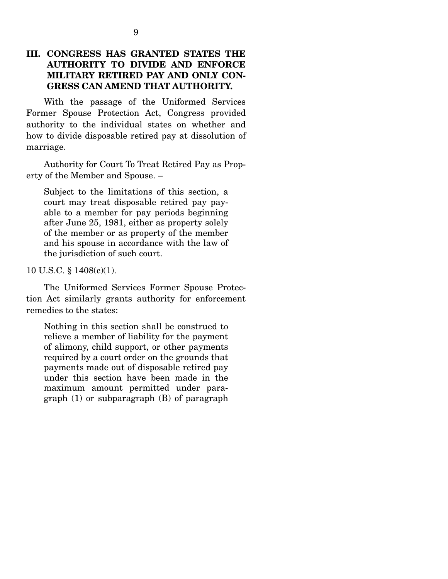### **III. CONGRESS HAS GRANTED STATES THE AUTHORITY TO DIVIDE AND ENFORCE MILITARY RETIRED PAY AND ONLY CON-GRESS CAN AMEND THAT AUTHORITY.**

 With the passage of the Uniformed Services Former Spouse Protection Act, Congress provided authority to the individual states on whether and how to divide disposable retired pay at dissolution of marriage.

 Authority for Court To Treat Retired Pay as Property of the Member and Spouse. –

Subject to the limitations of this section, a court may treat disposable retired pay payable to a member for pay periods beginning after June 25, 1981, either as property solely of the member or as property of the member and his spouse in accordance with the law of the jurisdiction of such court.

10 U.S.C. § 1408(c)(1).

 The Uniformed Services Former Spouse Protection Act similarly grants authority for enforcement remedies to the states:

Nothing in this section shall be construed to relieve a member of liability for the payment of alimony, child support, or other payments required by a court order on the grounds that payments made out of disposable retired pay under this section have been made in the maximum amount permitted under paragraph (1) or subparagraph (B) of paragraph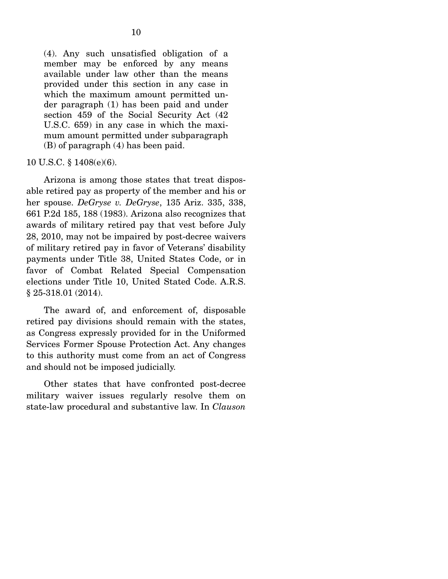(4). Any such unsatisfied obligation of a member may be enforced by any means available under law other than the means provided under this section in any case in which the maximum amount permitted under paragraph (1) has been paid and under section 459 of the Social Security Act (42 U.S.C. 659) in any case in which the maximum amount permitted under subparagraph (B) of paragraph (4) has been paid.

#### 10 U.S.C. § 1408(e)(6).

 Arizona is among those states that treat disposable retired pay as property of the member and his or her spouse. *DeGryse v. DeGryse*, 135 Ariz. 335, 338, 661 P.2d 185, 188 (1983). Arizona also recognizes that awards of military retired pay that vest before July 28, 2010, may not be impaired by post-decree waivers of military retired pay in favor of Veterans' disability payments under Title 38, United States Code, or in favor of Combat Related Special Compensation elections under Title 10, United Stated Code. A.R.S. § 25-318.01 (2014).

 The award of, and enforcement of, disposable retired pay divisions should remain with the states, as Congress expressly provided for in the Uniformed Services Former Spouse Protection Act. Any changes to this authority must come from an act of Congress and should not be imposed judicially.

 Other states that have confronted post-decree military waiver issues regularly resolve them on state-law procedural and substantive law. In *Clauson*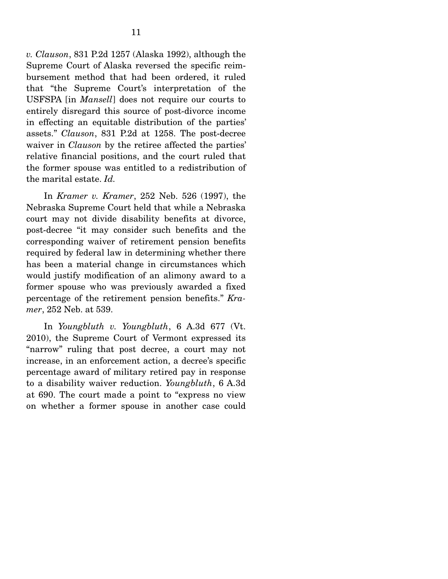*v. Clauson*, 831 P.2d 1257 (Alaska 1992), although the Supreme Court of Alaska reversed the specific reimbursement method that had been ordered, it ruled that "the Supreme Court's interpretation of the USFSPA [in *Mansell*] does not require our courts to entirely disregard this source of post-divorce income in effecting an equitable distribution of the parties' assets." *Clauson*, 831 P.2d at 1258. The post-decree waiver in *Clauson* by the retiree affected the parties' relative financial positions, and the court ruled that the former spouse was entitled to a redistribution of the marital estate. *Id.* 

 In *Kramer v. Kramer*, 252 Neb. 526 (1997), the Nebraska Supreme Court held that while a Nebraska court may not divide disability benefits at divorce, post-decree "it may consider such benefits and the corresponding waiver of retirement pension benefits required by federal law in determining whether there has been a material change in circumstances which would justify modification of an alimony award to a former spouse who was previously awarded a fixed percentage of the retirement pension benefits." *Kramer*, 252 Neb. at 539.

 In *Youngbluth v. Youngbluth*, 6 A.3d 677 (Vt. 2010), the Supreme Court of Vermont expressed its "narrow" ruling that post decree, a court may not increase, in an enforcement action, a decree's specific percentage award of military retired pay in response to a disability waiver reduction. *Youngbluth*, 6 A.3d at 690. The court made a point to "express no view on whether a former spouse in another case could